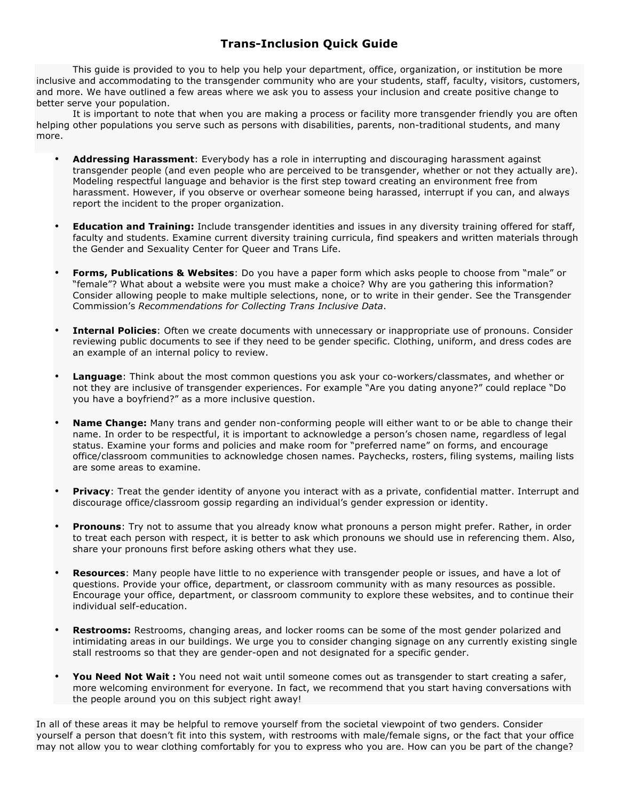## **Trans-Inclusion Quick Guide**

This guide is provided to you to help you help your department, office, organization, or institution be more inclusive and accommodating to the transgender community who are your students, staff, faculty, visitors, customers, and more. We have outlined a few areas where we ask you to assess your inclusion and create positive change to better serve your population.

It is important to note that when you are making a process or facility more transgender friendly you are often helping other populations you serve such as persons with disabilities, parents, non-traditional students, and many more.

- **Addressing Harassment**: Everybody has a role in interrupting and discouraging harassment against transgender people (and even people who are perceived to be transgender, whether or not they actually are). Modeling respectful language and behavior is the first step toward creating an environment free from harassment. However, if you observe or overhear someone being harassed, interrupt if you can, and always report the incident to the proper organization.
- **Education and Training:** Include transgender identities and issues in any diversity training offered for staff, faculty and students. Examine current diversity training curricula, find speakers and written materials through the Gender and Sexuality Center for Queer and Trans Life.
- **Forms, Publications & Websites**: Do you have a paper form which asks people to choose from "male" or "female"? What about a website were you must make a choice? Why are you gathering this information? Consider allowing people to make multiple selections, none, or to write in their gender. See the Transgender Commission's *Recommendations for Collecting Trans Inclusive Data*.
- **Internal Policies**: Often we create documents with unnecessary or inappropriate use of pronouns. Consider reviewing public documents to see if they need to be gender specific. Clothing, uniform, and dress codes are an example of an internal policy to review.
- **Language**: Think about the most common questions you ask your co-workers/classmates, and whether or not they are inclusive of transgender experiences. For example "Are you dating anyone?" could replace "Do you have a boyfriend?" as a more inclusive question.
- **Name Change:** Many trans and gender non-conforming people will either want to or be able to change their name. In order to be respectful, it is important to acknowledge a person's chosen name, regardless of legal status. Examine your forms and policies and make room for "preferred name" on forms, and encourage office/classroom communities to acknowledge chosen names. Paychecks, rosters, filing systems, mailing lists are some areas to examine.
- **Privacy**: Treat the gender identity of anyone you interact with as a private, confidential matter. Interrupt and discourage office/classroom gossip regarding an individual's gender expression or identity.
- **Pronouns**: Try not to assume that you already know what pronouns a person might prefer. Rather, in order to treat each person with respect, it is better to ask which pronouns we should use in referencing them. Also, share your pronouns first before asking others what they use.
- **Resources**: Many people have little to no experience with transgender people or issues, and have a lot of questions. Provide your office, department, or classroom community with as many resources as possible. Encourage your office, department, or classroom community to explore these websites, and to continue their individual self-education.
- **Restrooms:** Restrooms, changing areas, and locker rooms can be some of the most gender polarized and intimidating areas in our buildings. We urge you to consider changing signage on any currently existing single stall restrooms so that they are gender-open and not designated for a specific gender.
- **You Need Not Wait :** You need not wait until someone comes out as transgender to start creating a safer, more welcoming environment for everyone. In fact, we recommend that you start having conversations with the people around you on this subject right away!

In all of these areas it may be helpful to remove yourself from the societal viewpoint of two genders. Consider yourself a person that doesn't fit into this system, with restrooms with male/female signs, or the fact that your office may not allow you to wear clothing comfortably for you to express who you are. How can you be part of the change?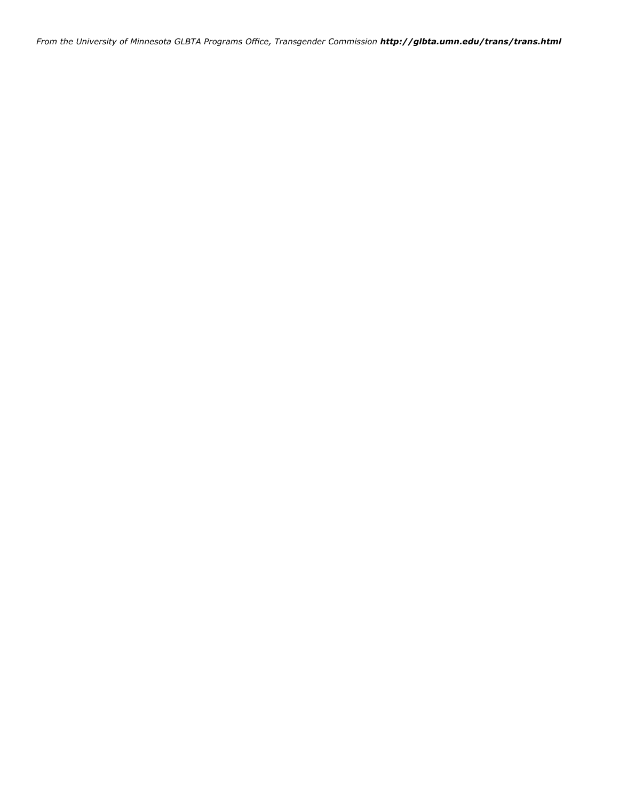*From the University of Minnesota GLBTA Programs Office, Transgender Commission http://glbta.umn.edu/trans/trans.html*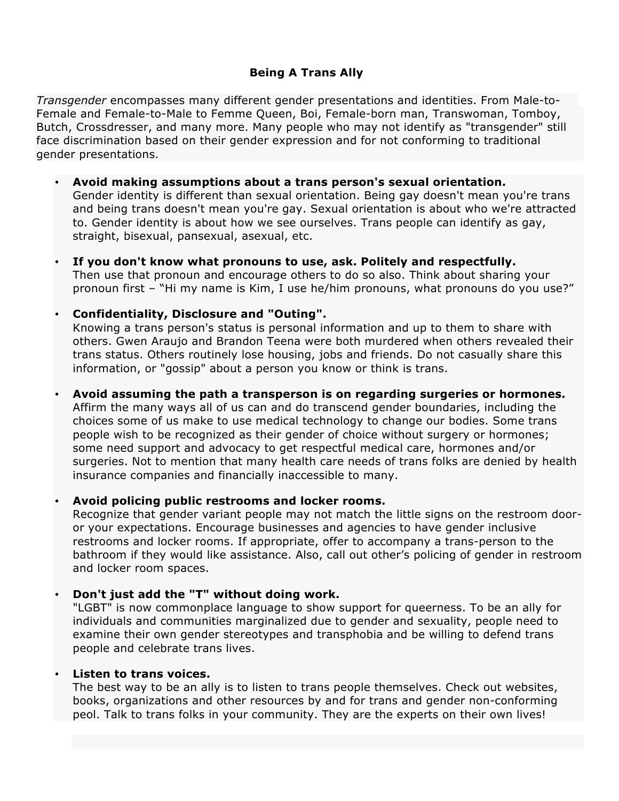# **Being A Trans Ally**

*Transgender* encompasses many different gender presentations and identities. From Male-to-Female and Female-to-Male to Femme Queen, Boi, Female-born man, Transwoman, Tomboy, Butch, Crossdresser, and many more. Many people who may not identify as "transgender" still face discrimination based on their gender expression and for not conforming to traditional gender presentations.

- **Avoid making assumptions about a trans person's sexual orientation.** Gender identity is different than sexual orientation. Being gay doesn't mean you're trans and being trans doesn't mean you're gay. Sexual orientation is about who we're attracted to. Gender identity is about how we see ourselves. Trans people can identify as gay, straight, bisexual, pansexual, asexual, etc.
- **If you don't know what pronouns to use, ask. Politely and respectfully.** Then use that pronoun and encourage others to do so also. Think about sharing your pronoun first – "Hi my name is Kim, I use he/him pronouns, what pronouns do you use?"
- **Confidentiality, Disclosure and "Outing".** Knowing a trans person's status is personal information and up to them to share with others. Gwen Araujo and Brandon Teena were both murdered when others revealed their trans status. Others routinely lose housing, jobs and friends. Do not casually share this information, or "gossip" about a person you know or think is trans.
- **Avoid assuming the path a transperson is on regarding surgeries or hormones.** Affirm the many ways all of us can and do transcend gender boundaries, including the choices some of us make to use medical technology to change our bodies. Some trans people wish to be recognized as their gender of choice without surgery or hormones; some need support and advocacy to get respectful medical care, hormones and/or surgeries. Not to mention that many health care needs of trans folks are denied by health insurance companies and financially inaccessible to many.

### • **Avoid policing public restrooms and locker rooms.**

Recognize that gender variant people may not match the little signs on the restroom dooror your expectations. Encourage businesses and agencies to have gender inclusive restrooms and locker rooms. If appropriate, offer to accompany a trans-person to the bathroom if they would like assistance. Also, call out other's policing of gender in restroom and locker room spaces.

### • **Don't just add the "T" without doing work.**

"LGBT" is now commonplace language to show support for queerness. To be an ally for individuals and communities marginalized due to gender and sexuality, people need to examine their own gender stereotypes and transphobia and be willing to defend trans people and celebrate trans lives.

#### • **Listen to trans voices.**

The best way to be an ally is to listen to trans people themselves. Check out websites, books, organizations and other resources by and for trans and gender non-conforming peol. Talk to trans folks in your community. They are the experts on their own lives!